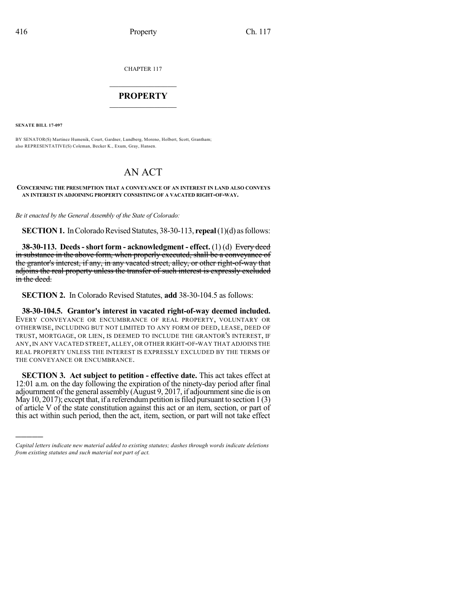CHAPTER 117

## $\mathcal{L}_\text{max}$  . The set of the set of the set of the set of the set of the set of the set of the set of the set of the set of the set of the set of the set of the set of the set of the set of the set of the set of the set **PROPERTY**  $\_$   $\_$   $\_$   $\_$   $\_$   $\_$   $\_$   $\_$   $\_$

**SENATE BILL 17-097**

)))))

BY SENATOR(S) Martinez Humenik, Court, Gardner, Lundberg, Moreno, Holbert, Scott, Grantham; also REPRESENTATIVE(S) Coleman, Becker K., Exum, Gray, Hansen.

## AN ACT

## **CONCERNING THE PRESUMPTION THAT A CONVEYANCE OF AN INTEREST IN LAND ALSO CONVEYS AN INTEREST IN ADJOINING PROPERTY CONSISTING OF A VACATED RIGHT-OF-WAY.**

*Be it enacted by the General Assembly of the State of Colorado:*

**SECTION 1.** In Colorado Revised Statutes, 38-30-113, **repeal** (1)(d) as follows:

**38-30-113. Deeds-short form - acknowledgment - effect.** (1) (d) Every deed in substance in the above form, when properly executed, shall be a conveyance of the grantor's interest, if any, in any vacated street, alley, or other right-of-way that adjoins the real property unless the transfer of such interest is expressly excluded in the deed.

**SECTION 2.** In Colorado Revised Statutes, **add** 38-30-104.5 as follows:

**38-30-104.5. Grantor's interest in vacated right-of-way deemed included.** EVERY CONVEYANCE OR ENCUMBRANCE OF REAL PROPERTY, VOLUNTARY OR OTHERWISE, INCLUDING BUT NOT LIMITED TO ANY FORM OF DEED, LEASE, DEED OF TRUST, MORTGAGE, OR LIEN, IS DEEMED TO INCLUDE THE GRANTOR'S INTEREST, IF ANY,IN ANY VACATED STREET, ALLEY, OR OTHER RIGHT-OF-WAY THAT ADJOINS THE REAL PROPERTY UNLESS THE INTEREST IS EXPRESSLY EXCLUDED BY THE TERMS OF THE CONVEYANCE OR ENCUMBRANCE.

**SECTION 3. Act subject to petition - effective date.** This act takes effect at 12:01 a.m. on the day following the expiration of the ninety-day period after final adjournment of the general assembly (August 9, 2017, if adjournment sine die is on May 10, 2017); except that, if a referendum petition is filed pursuant to section  $1(3)$ of article V of the state constitution against this act or an item, section, or part of this act within such period, then the act, item, section, or part will not take effect

*Capital letters indicate new material added to existing statutes; dashes through words indicate deletions from existing statutes and such material not part of act.*